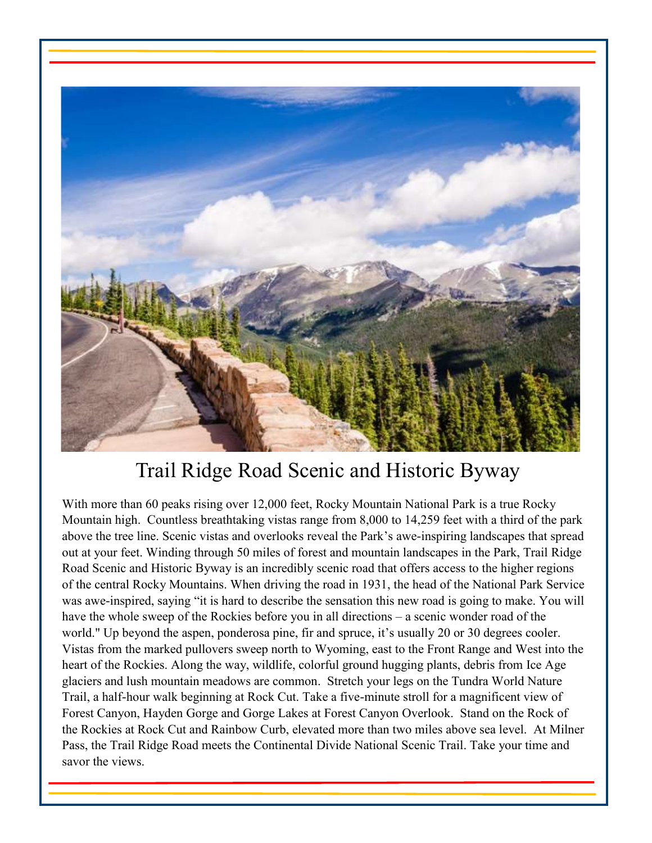

# Trail Ridge Road Scenic and Historic Byway

With more than 60 peaks rising over 12,000 feet, Rocky Mountain National Park is a true Rocky Mountain high. Countless breathtaking vistas range from 8,000 to 14,259 feet with a third of the park above the tree line. Scenic vistas and overlooks reveal the Park's awe-inspiring landscapes that spread out at your feet. Winding through 50 miles of forest and mountain landscapes in the Park, Trail Ridge Road Scenic and Historic Byway is an incredibly scenic road that offers access to the higher regions of the central Rocky Mountains. When driving the road in 1931, the head of the National Park Service was awe-inspired, saying "it is hard to describe the sensation this new road is going to make. You will have the whole sweep of the Rockies before you in all directions – a scenic wonder road of the world." Up beyond the aspen, ponderosa pine, fir and spruce, it's usually 20 or 30 degrees cooler. Vistas from the marked pullovers sweep north to Wyoming, east to the Front Range and West into the heart of the Rockies. Along the way, wildlife, colorful ground hugging plants, debris from Ice Age glaciers and lush mountain meadows are common. Stretch your legs on the Tundra World Nature Trail, a half-hour walk beginning at Rock Cut. Take a five-minute stroll for a magnificent view of Forest Canyon, Hayden Gorge and Gorge Lakes at Forest Canyon Overlook. Stand on the Rock of the Rockies at Rock Cut and Rainbow Curb, elevated more than two miles above sea level. At Milner Pass, the Trail Ridge Road meets the Continental Divide National Scenic Trail. Take your time and savor the views.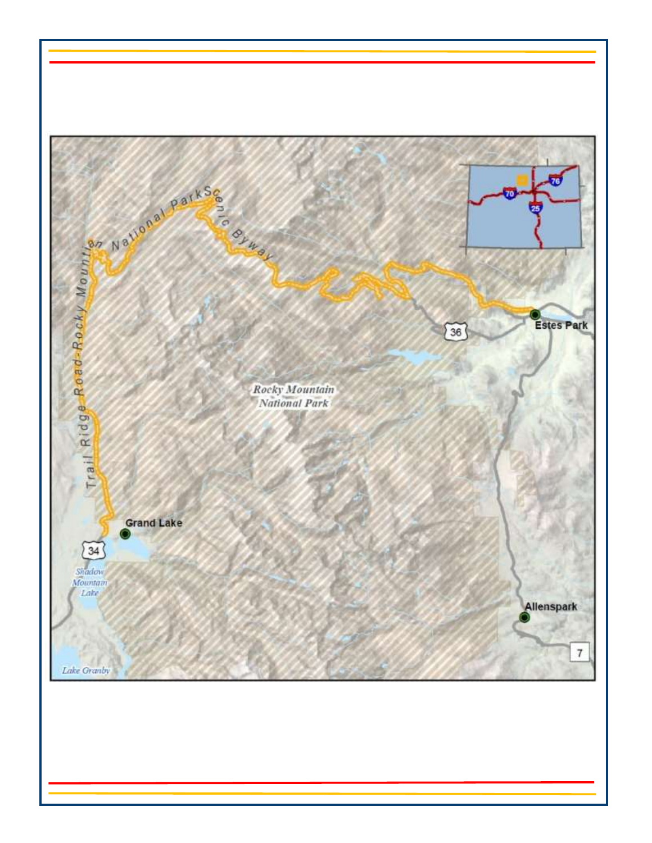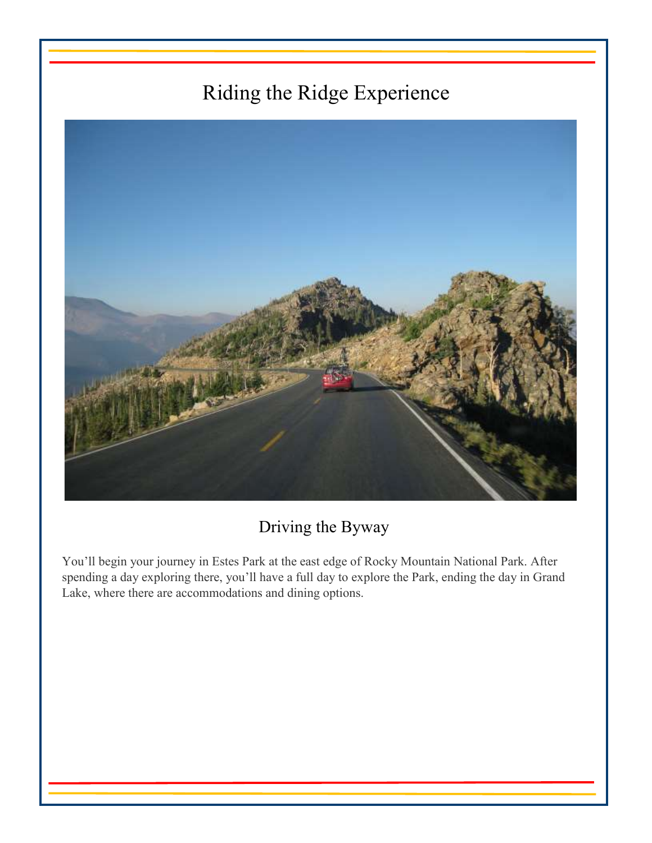# Riding the Ridge Experience



Driving the Byway

You'll begin your journey in Estes Park at the east edge of Rocky Mountain National Park. After spending a day exploring there, you'll have a full day to explore the Park, ending the day in Grand Lake, where there are accommodations and dining options.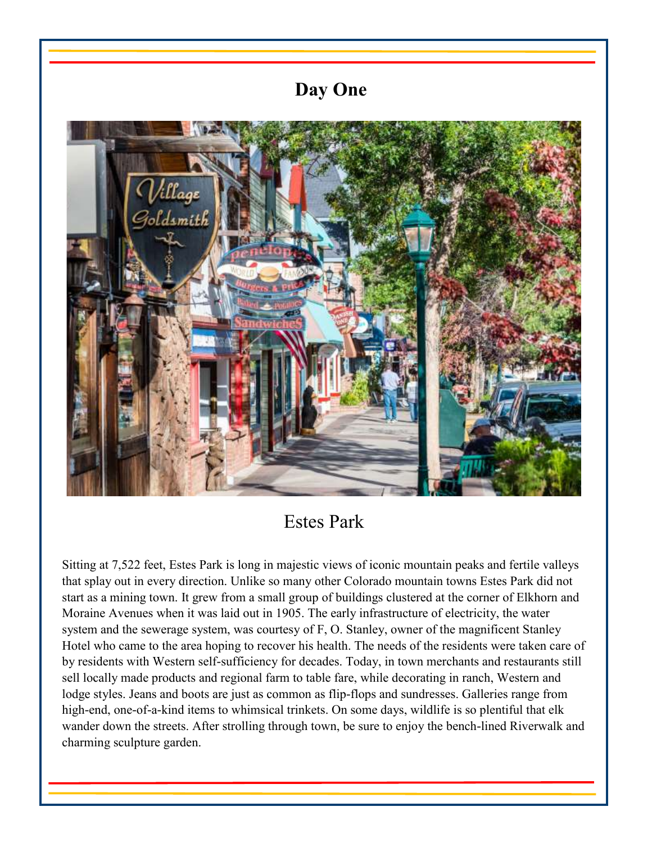## **Day One**



# Estes Park

Sitting at 7,522 feet, Estes Park is long in majestic views of iconic mountain peaks and fertile valleys that splay out in every direction. Unlike so many other Colorado mountain towns Estes Park did not start as a mining town. It grew from a small group of buildings clustered at the corner of Elkhorn and Moraine Avenues when it was laid out in 1905. The early infrastructure of electricity, the water system and the sewerage system, was courtesy of F, O. Stanley, owner of the magnificent Stanley Hotel who came to the area hoping to recover his health. The needs of the residents were taken care of by residents with Western self-sufficiency for decades. Today, in town merchants and restaurants still sell locally made products and regional farm to table fare, while decorating in ranch, Western and lodge styles. Jeans and boots are just as common as flip-flops and sundresses. Galleries range from high-end, one-of-a-kind items to whimsical trinkets. On some days, wildlife is so plentiful that elk wander down the streets. After strolling through town, be sure to enjoy the bench-lined Riverwalk and charming sculpture garden.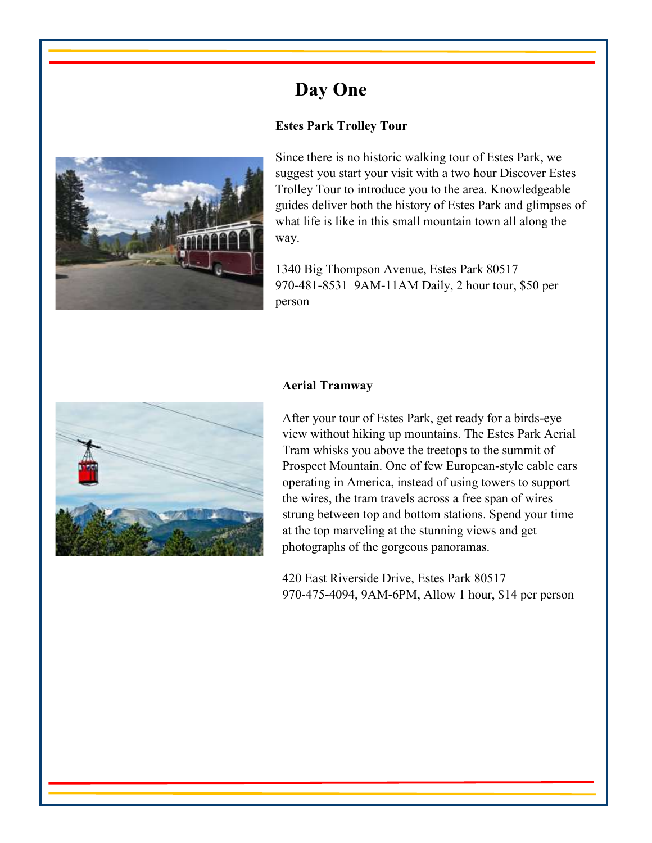# **Day One**

### **Estes Park Trolley Tour**



Since there is no historic walking tour of Estes Park, we suggest you start your visit with a two hour Discover Estes Trolley Tour to introduce you to the area. Knowledgeable guides deliver both the history of Estes Park and glimpses of what life is like in this small mountain town all along the way.

1340 Big Thompson Avenue, Estes Park 80517 970-481-8531 9AM-11AM Daily, 2 hour tour, \$50 per person



#### **Aerial Tramway**

After your tour of Estes Park, get ready for a birds-eye view without hiking up mountains. The Estes Park Aerial Tram whisks you above the treetops to the summit of Prospect Mountain. One of few European-style cable cars operating in America, instead of using towers to support the wires, the tram travels across a free span of wires strung between top and bottom stations. Spend your time at the top marveling at the stunning views and get photographs of the gorgeous panoramas.

420 East Riverside Drive, Estes Park 80517 970-475-4094, 9AM-6PM, Allow 1 hour, \$14 per person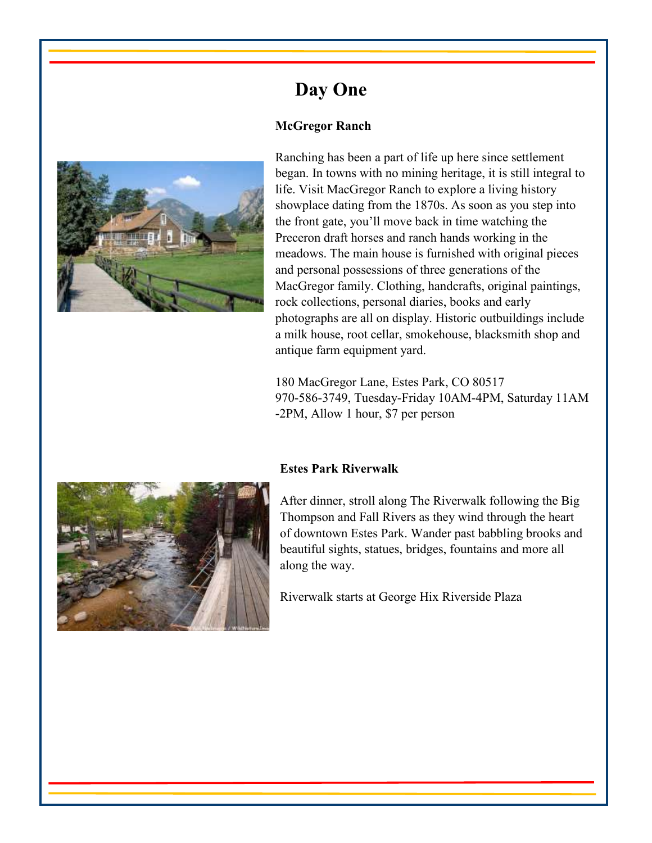

**Day One** 

#### **McGregor Ranch**

Ranching has been a part of life up here since settlement began. In towns with no mining heritage, it is still integral to life. Visit MacGregor Ranch to explore a living history showplace dating from the 1870s. As soon as you step into the front gate, you'll move back in time watching the Preceron draft horses and ranch hands working in the meadows. The main house is furnished with original pieces and personal possessions of three generations of the MacGregor family. Clothing, handcrafts, original paintings, rock collections, personal diaries, books and early photographs are all on display. Historic outbuildings include a milk house, root cellar, smokehouse, blacksmith shop and antique farm equipment yard.

180 MacGregor Lane, Estes Park, CO 80517 970-586-3749, Tuesday-Friday 10AM-4PM, Saturday 11AM -2PM, Allow 1 hour, \$7 per person



#### **Estes Park Riverwalk**

After dinner, stroll along The Riverwalk following the Big Thompson and Fall Rivers as they wind through the heart of downtown Estes Park. Wander past babbling brooks and beautiful sights, statues, bridges, fountains and more all along the way.

Riverwalk starts at George Hix Riverside Plaza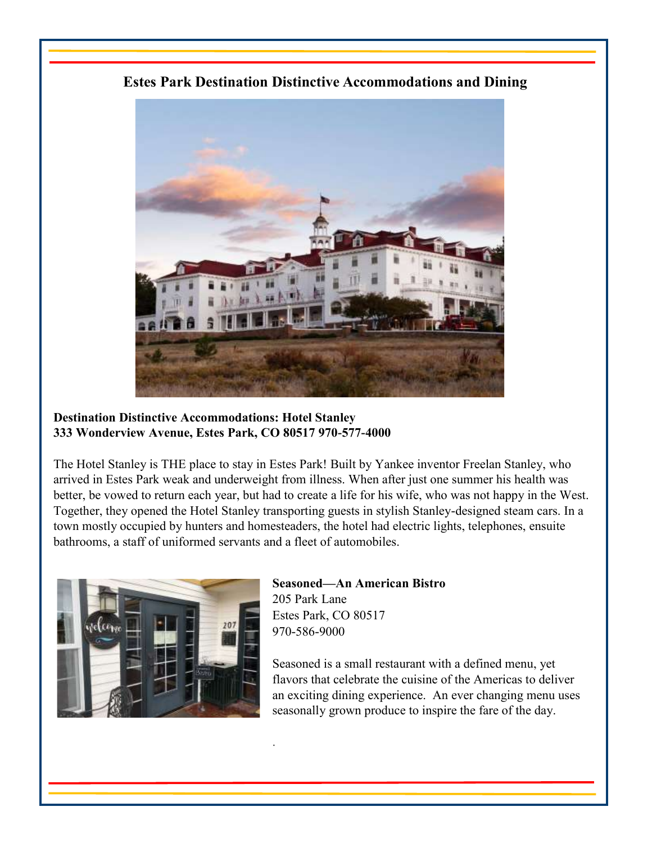

**Estes Park Destination Distinctive Accommodations and Dining** 

### **Destination Distinctive Accommodations: Hotel Stanley 333 Wonderview Avenue, Estes Park, CO 80517 970-577-4000**

The Hotel Stanley is THE place to stay in Estes Park! Built by Yankee inventor Freelan Stanley, who arrived in Estes Park weak and underweight from illness. When after just one summer his health was better, be vowed to return each year, but had to create a life for his wife, who was not happy in the West. Together, they opened the Hotel Stanley transporting guests in stylish Stanley-designed steam cars. In a town mostly occupied by hunters and homesteaders, the hotel had electric lights, telephones, ensuite bathrooms, a staff of uniformed servants and a fleet of automobiles.

.



**Seasoned—An American Bistro**  205 Park Lane Estes Park, CO 80517 970-586-9000

Seasoned is a small restaurant with a defined menu, yet flavors that celebrate the cuisine of the Americas to deliver an exciting dining experience. An ever changing menu uses seasonally grown produce to inspire the fare of the day.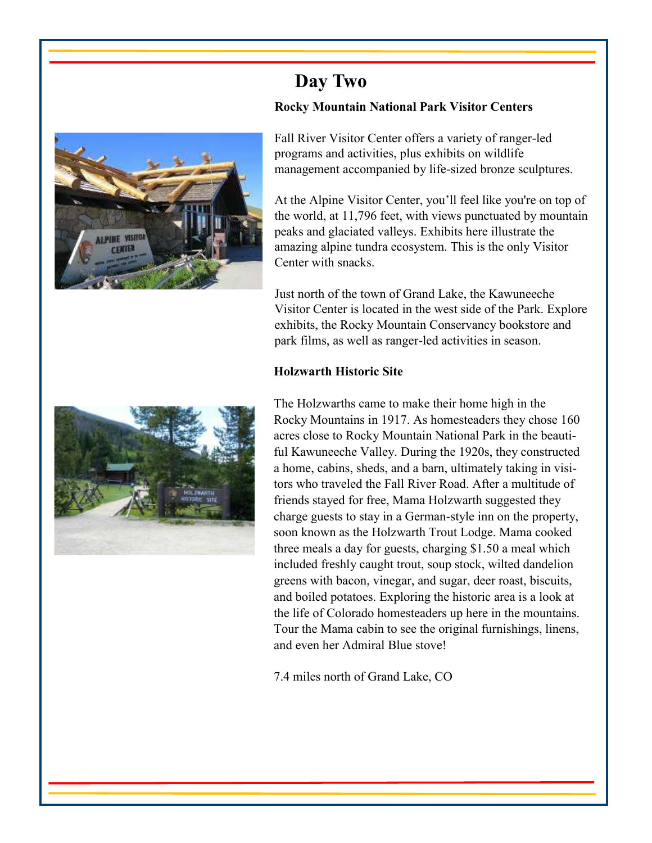

### **Day Two Rocky Mountain National Park Visitor Centers**

Fall River Visitor Center offers a variety of ranger-led programs and activities, plus exhibits on wildlife management accompanied by life-sized bronze sculptures.

At the Alpine Visitor Center, you'll feel like you're on top of the world, at 11,796 feet, with views punctuated by mountain peaks and glaciated valleys. Exhibits here illustrate the amazing alpine tundra ecosystem. This is the only Visitor Center with snacks.

Just north of the town of Grand Lake, the Kawuneeche Visitor Center is located in the west side of the Park. Explore exhibits, the Rocky Mountain Conservancy bookstore and park films, as well as ranger-led activities in season.

### **Holzwarth Historic Site**



The Holzwarths came to make their home high in the Rocky Mountains in 1917. As homesteaders they chose 160 acres close to Rocky Mountain National Park in the beautiful Kawuneeche Valley. During the 1920s, they constructed a home, cabins, sheds, and a barn, ultimately taking in visitors who traveled the Fall River Road. After a multitude of friends stayed for free, Mama Holzwarth suggested they charge guests to stay in a German-style inn on the property, soon known as the Holzwarth Trout Lodge. Mama cooked three meals a day for guests, charging \$1.50 a meal which included freshly caught trout, soup stock, wilted dandelion greens with bacon, vinegar, and sugar, deer roast, biscuits, and boiled potatoes. Exploring the historic area is a look at the life of Colorado homesteaders up here in the mountains. Tour the Mama cabin to see the original furnishings, linens, and even her Admiral Blue stove!

7.4 miles north of Grand Lake, CO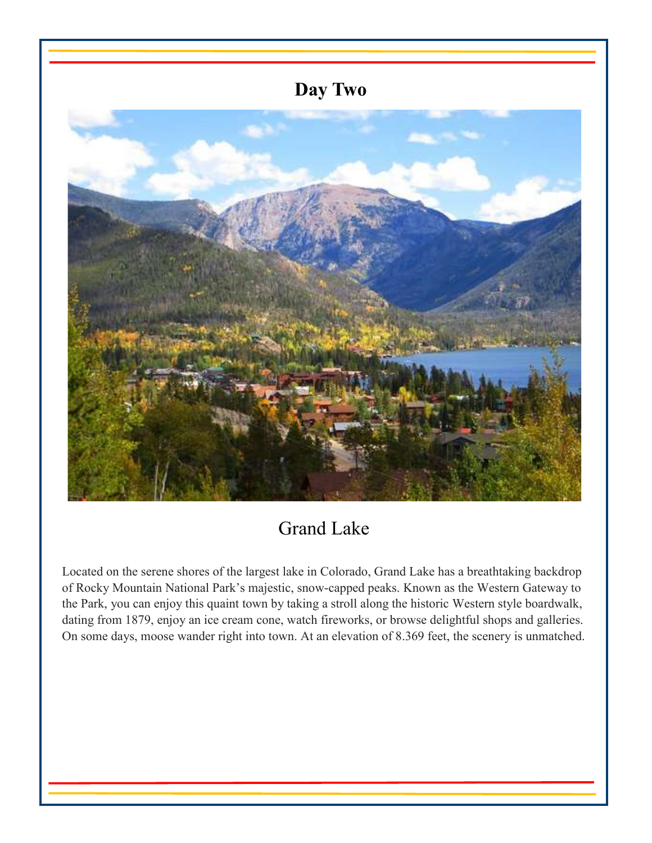

# Grand Lake

Located on the serene shores of the largest lake in Colorado, Grand Lake has a breathtaking backdrop of Rocky Mountain National Park's majestic, snow-capped peaks. Known as the Western Gateway to the Park, you can enjoy this quaint town by taking a stroll along the historic Western style boardwalk, dating from 1879, enjoy an ice cream cone, watch fireworks, or browse delightful shops and galleries. On some days, moose wander right into town. At an elevation of 8.369 feet, the scenery is unmatched.